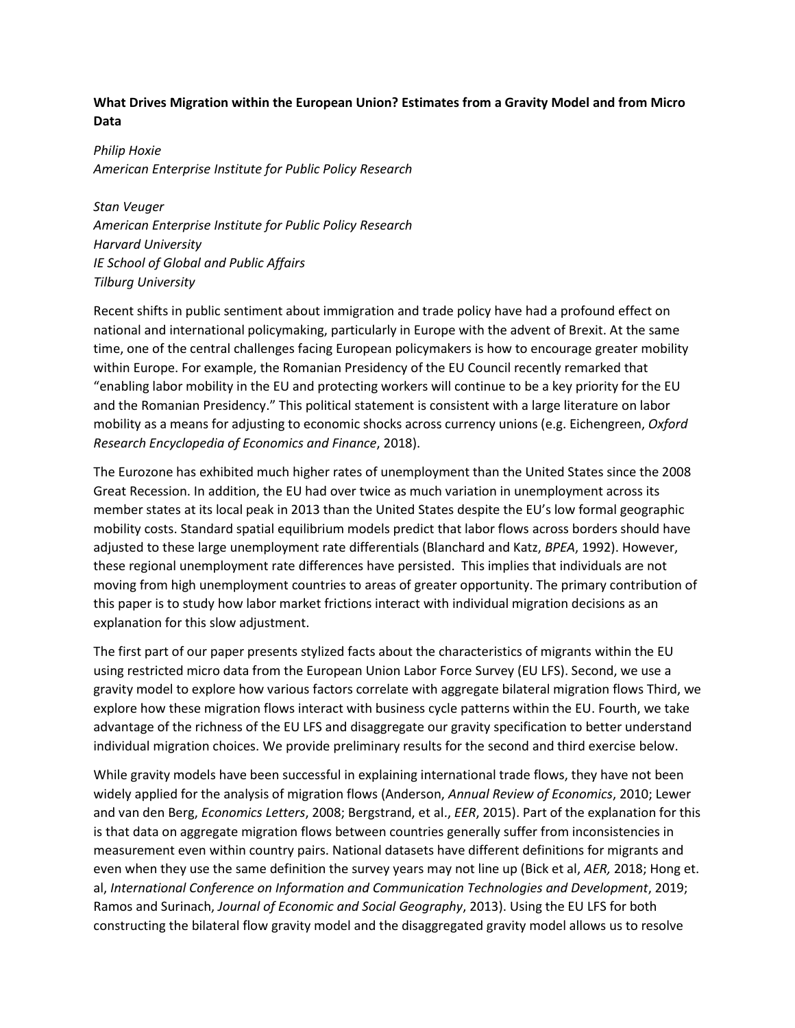## **What Drives Migration within the European Union? Estimates from a Gravity Model and from Micro Data**

*Philip Hoxie American Enterprise Institute for Public Policy Research*

*Stan Veuger American Enterprise Institute for Public Policy Research Harvard University IE School of Global and Public Affairs Tilburg University*

Recent shifts in public sentiment about immigration and trade policy have had a profound effect on national and international policymaking, particularly in Europe with the advent of Brexit. At the same time, one of the central challenges facing European policymakers is how to encourage greater mobility within Europe. For example, the Romanian Presidency of the EU Council recently remarked that "enabling labor mobility in the EU and protecting workers will continue to be a key priority for the EU and the Romanian Presidency." This political statement is consistent with a large literature on labor mobility as a means for adjusting to economic shocks across currency unions (e.g. Eichengreen, *Oxford Research Encyclopedia of Economics and Finance*, 2018).

The Eurozone has exhibited much higher rates of unemployment than the United States since the 2008 Great Recession. In addition, the EU had over twice as much variation in unemployment across its member states at its local peak in 2013 than the United States despite the EU's low formal geographic mobility costs. Standard spatial equilibrium models predict that labor flows across borders should have adjusted to these large unemployment rate differentials (Blanchard and Katz, *BPEA*, 1992). However, these regional unemployment rate differences have persisted. This implies that individuals are not moving from high unemployment countries to areas of greater opportunity. The primary contribution of this paper is to study how labor market frictions interact with individual migration decisions as an explanation for this slow adjustment.

The first part of our paper presents stylized facts about the characteristics of migrants within the EU using restricted micro data from the European Union Labor Force Survey (EU LFS). Second, we use a gravity model to explore how various factors correlate with aggregate bilateral migration flows Third, we explore how these migration flows interact with business cycle patterns within the EU. Fourth, we take advantage of the richness of the EU LFS and disaggregate our gravity specification to better understand individual migration choices. We provide preliminary results for the second and third exercise below.

While gravity models have been successful in explaining international trade flows, they have not been widely applied for the analysis of migration flows (Anderson, *Annual Review of Economics*, 2010; Lewer and van den Berg, *Economics Letters*, 2008; Bergstrand, et al., *EER*, 2015). Part of the explanation for this is that data on aggregate migration flows between countries generally suffer from inconsistencies in measurement even within country pairs. National datasets have different definitions for migrants and even when they use the same definition the survey years may not line up (Bick et al, *AER,* 2018; Hong et. al, *International Conference on Information and Communication Technologies and Development*, 2019; Ramos and Surinach, *Journal of Economic and Social Geography*, 2013). Using the EU LFS for both constructing the bilateral flow gravity model and the disaggregated gravity model allows us to resolve